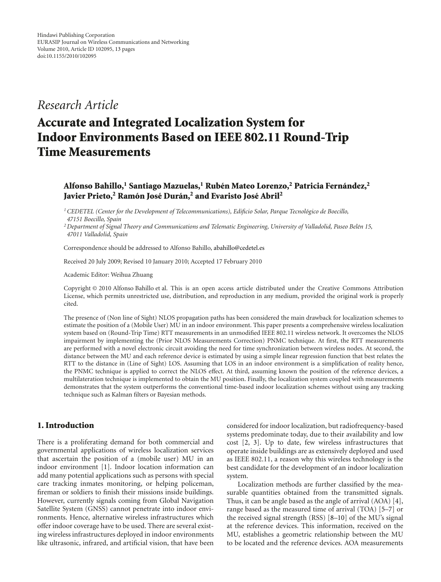## *Research Article*

# **Accurate and Integrated Localization System for Indoor Environments Based on IEEE 802.11 Round-Trip Time Measurements**

## **Alfonso Bahillo,1 Santiago Mazuelas,1 Ruben Mateo Lorenzo, ´ <sup>2</sup> Patricia Fernandez, ´ <sup>2</sup> Javier Prieto,<sup>2</sup> Ramón José Durán,<sup>2</sup> and Evaristo José Abril<sup>2</sup>**

*1CEDETEL (Center for the Development of Telecommunications), Edificio Solar, Parque Tecnologico de Boecillo, ´ 47151 Boecillo, Spain*

*2Department of Signal Theory and Communications and Telematic Engineering, University of Valladolid, Paseo Bel´en 15, 47011 Valladolid, Spain*

Correspondence should be addressed to Alfonso Bahillo, abahillo@cedetel.es

Received 20 July 2009; Revised 10 January 2010; Accepted 17 February 2010

Academic Editor: Weihua Zhuang

Copyright © 2010 Alfonso Bahillo et al. This is an open access article distributed under the Creative Commons Attribution License, which permits unrestricted use, distribution, and reproduction in any medium, provided the original work is properly cited.

The presence of (Non line of Sight) NLOS propagation paths has been considered the main drawback for localization schemes to estimate the position of a (Mobile User) MU in an indoor environment. This paper presents a comprehensive wireless localization system based on (Round-Trip Time) RTT measurements in an unmodified IEEE 802.11 wireless network. It overcomes the NLOS impairment by implementing the (Prior NLOS Measurements Correction) PNMC technique. At first, the RTT measurements are performed with a novel electronic circuit avoiding the need for time synchronization between wireless nodes. At second, the distance between the MU and each reference device is estimated by using a simple linear regression function that best relates the RTT to the distance in (Line of Sight) LOS. Assuming that LOS in an indoor environment is a simplification of reality hence, the PNMC technique is applied to correct the NLOS effect. At third, assuming known the position of the reference devices, a multilateration technique is implemented to obtain the MU position. Finally, the localization system coupled with measurements demonstrates that the system outperforms the conventional time-based indoor localization schemes without using any tracking technique such as Kalman filters or Bayesian methods.

## **1. Introduction**

There is a proliferating demand for both commercial and governmental applications of wireless localization services that ascertain the position of a (mobile user) MU in an indoor environment [1]. Indoor location information can add many potential applications such as persons with special care tracking inmates monitoring, or helping policeman, fireman or soldiers to finish their missions inside buildings. However, currently signals coming from Global Navigation Satellite System (GNSS) cannot penetrate into indoor environments. Hence, alternative wireless infrastructures which offer indoor coverage have to be used. There are several existing wireless infrastructures deployed in indoor environments like ultrasonic, infrared, and artificial vision, that have been considered for indoor localization, but radiofrequency-based systems predominate today, due to their availability and low cost [2, 3]. Up to date, few wireless infrastructures that operate inside buildings are as extensively deployed and used as IEEE 802.11, a reason why this wireless technology is the best candidate for the development of an indoor localization system.

Localization methods are further classified by the measurable quantities obtained from the transmitted signals. Thus, it can be angle based as the angle of arrival (AOA) [4], range based as the measured time of arrival (TOA) [5–7] or the received signal strength (RSS) [8–10] of the MU's signal at the reference devices. This information, received on the MU, establishes a geometric relationship between the MU to be located and the reference devices. AOA measurements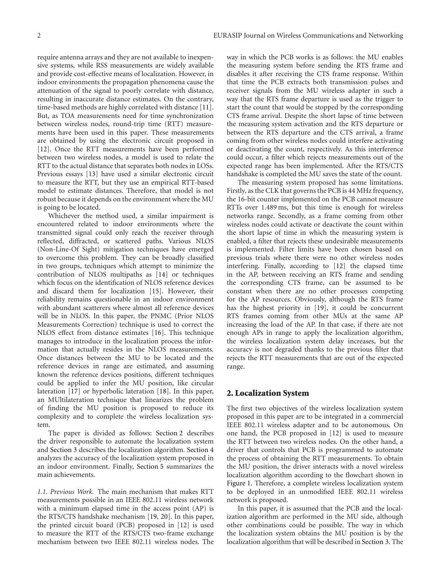require antenna arrays and they are not available to inexpensive systems, while RSS measurements are widely available and provide cost-effective means of localization. However, in indoor environments the propagation phenomena cause the attenuation of the signal to poorly correlate with distance, resulting in inaccurate distance estimates. On the contrary, time-based methods are highly correlated with distance [11]. But, as TOA measurements need for time synchronization between wireless nodes, round-trip time (RTT) measurements have been used in this paper. These measurements are obtained by using the electronic circuit proposed in [12]. Once the RTT measurements have been performed between two wireless nodes, a model is used to relate the RTT to the actual distance that separates both nodes in LOSs. Previous essays [13] have used a similar electronic circuit to measure the RTT, but they use an empirical RTT-based model to estimate distances. Therefore, that model is not robust because it depends on the environment where the MU is going to be located.

Whichever the method used, a similar impairment is encountered related to indoor environments where the transmitted signal could only reach the receiver through reflected, diffracted, or scattered paths. Various NLOS (Non-Line-Of Sight) mitigation techniques have emerged to overcome this problem. They can be broadly classified in two groups, techniques which attempt to minimize the contribution of NLOS multipaths as [14] or techniques which focus on the identification of NLOS reference devices and discard them for localization [15]. However, their reliability remains questionable in an indoor environment with abundant scatterers where almost all reference devices will be in NLOS. In this paper, the PNMC (Prior NLOS Measurements Correction) technique is used to correct the NLOS effect from distance estimates [16]. This technique manages to introduce in the localization process the information that actually resides in the NLOS measurements. Once distances between the MU to be located and the reference devices in range are estimated, and assuming known the reference devices positions, different techniques could be applied to infer the MU position, like circular lateration [17] or hyperbolic lateration [18]. In this paper, an MUltilateration technique that linearizes the problem of finding the MU position is proposed to reduce its complexity and to complete the wireless localization system.

The paper is divided as follows: Section 2 describes the driver responsible to automate the localization system and Section 3 describes the localization algorithm. Section 4 analyzes the accuracy of the localization system proposed in an indoor environment. Finally, Section 5 summarizes the main achievements.

*1.1. Previous Work.* The main mechanism that makes RTT measurements possible in an IEEE 802.11 wireless network with a minimum elapsed time in the access point (AP) is the RTS/CTS handshake mechanism [19, 20]. In this paper, the printed circuit board (PCB) proposed in [12] is used to measure the RTT of the RTS/CTS two-frame exchange mechanism between two IEEE 802.11 wireless nodes. The

way in which the PCB works is as follows: the MU enables the measuring system before sending the RTS frame and disables it after receiving the CTS frame response. Within that time the PCB extracts both transmission pulses and receiver signals from the MU wireless adapter in such a way that the RTS frame departure is used as the trigger to start the count that would be stopped by the corresponding CTS frame arrival. Despite the short lapse of time between the measuring system activation and the RTS departure or between the RTS departure and the CTS arrival, a frame coming from other wireless nodes could interfere activating or deactivating the count, respectively. As this interference could occur, a filter which rejects measurements out of the expected range has been implemented. After the RTS/CTS handshake is completed the MU saves the state of the count.

The measuring system proposed has some limitations. Firstly, as the CLK that governs the PCB is 44 MHz frequency, the 16-bit counter implemented on the PCB cannot measure RTTs over 1.489 ms, but this time is enough for wireless networks range. Secondly, as a frame coming from other wireless nodes could activate or deactivate the count within the short lapse of time in which the measuring system is enabled, a filter that rejects these undesirable measurements is implemented. Filter limits have been chosen based on previous trials where there were no other wireless nodes interfering. Finally, according to [12] the elapsed time in the AP, between receiving an RTS frame and sending the corresponding CTS frame, can be assumed to be constant when there are no other processes competing for the AP resources. Obviously, although the RTS frame has the highest priority in [19], it could be concurrent RTS frames coming from other MUs at the same AP increasing the load of the AP. In that case, if there are not enough APs in range to apply the localization algorithm, the wireless localization system delay increases, but the accuracy is not degraded thanks to the previous filter that rejects the RTT measurements that are out of the expected range.

#### **2. Localization System**

The first two objectives of the wireless localization system proposed in this paper are to be integrated in a commercial IEEE 802.11 wireless adapter and to be autonomous. On one hand, the PCB proposed in [12] is used to measure the RTT between two wireless nodes. On the other hand, a driver that controls that PCB is programmed to automate the process of obtaining the RTT measurements. To obtain the MU position, the driver interacts with a novel wireless localization algorithm according to the flowchart shown in Figure 1. Therefore, a complete wireless localization system to be deployed in an unmodified IEEE 802.11 wireless network is proposed.

In this paper, it is assumed that the PCB and the localization algorithm are performed in the MU side, although other combinations could be possible. The way in which the localization system obtains the MU position is by the localization algorithm that will be described in Section 3. The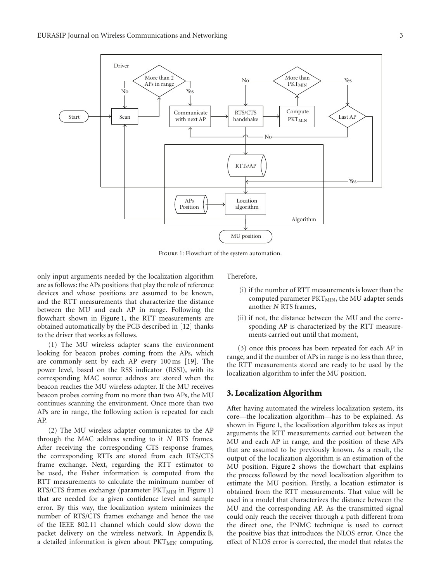

Figure 1: Flowchart of the system automation.

only input arguments needed by the localization algorithm are as follows: the APs positions that play the role of reference devices and whose positions are assumed to be known, and the RTT measurements that characterize the distance between the MU and each AP in range. Following the flowchart shown in Figure 1, the RTT measurements are obtained automatically by the PCB described in [12] thanks to the driver that works as follows.

(1) The MU wireless adapter scans the environment looking for beacon probes coming from the APs, which are commonly sent by each AP every 100 ms [19]. The power level, based on the RSS indicator (RSSI), with its corresponding MAC source address are stored when the beacon reaches the MU wireless adapter. If the MU receives beacon probes coming from no more than two APs, the MU continues scanning the environment. Once more than two APs are in range, the following action is repeated for each AP.

(2) The MU wireless adapter communicates to the AP through the MAC address sending to it *N* RTS frames. After receiving the corresponding CTS response frames, the corresponding RTTs are stored from each RTS/CTS frame exchange. Next, regarding the RTT estimator to be used, the Fisher information is computed from the RTT measurements to calculate the minimum number of RTS/CTS frames exchange (parameter  $PKT<sub>MIN</sub>$  in Figure 1) that are needed for a given confidence level and sample error. By this way, the localization system minimizes the number of RTS/CTS frames exchange and hence the use of the IEEE 802.11 channel which could slow down the packet delivery on the wireless network. In Appendix B, a detailed information is given about  $PKT<sub>MIN</sub>$  computing.

Therefore,

- (i) if the number of RTT measurements is lower than the computed parameter  $PKT<sub>MIN</sub>$ , the MU adapter sends another *N* RTS frames,
- (ii) if not, the distance between the MU and the corresponding AP is characterized by the RTT measurements carried out until that moment,

(3) once this process has been repeated for each AP in range, and if the number of APs in range is no less than three, the RTT measurements stored are ready to be used by the localization algorithm to infer the MU position.

#### **3. Localization Algorithm**

After having automated the wireless localization system, its core—the localization algorithm—has to be explained. As shown in Figure 1, the localization algorithm takes as input arguments the RTT measurements carried out between the MU and each AP in range, and the position of these APs that are assumed to be previously known. As a result, the output of the localization algorithm is an estimation of the MU position. Figure 2 shows the flowchart that explains the process followed by the novel localization algorithm to estimate the MU position. Firstly, a location estimator is obtained from the RTT measurements. That value will be used in a model that characterizes the distance between the MU and the corresponding AP. As the transmitted signal could only reach the receiver through a path different from the direct one, the PNMC technique is used to correct the positive bias that introduces the NLOS error. Once the effect of NLOS error is corrected, the model that relates the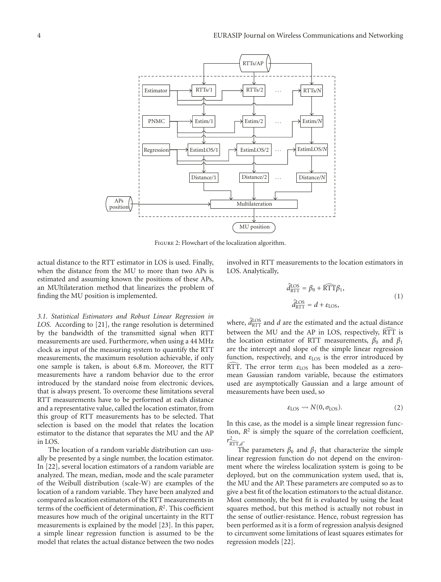

Figure 2: Flowchart of the localization algorithm.

actual distance to the RTT estimator in LOS is used. Finally, when the distance from the MU to more than two APs is estimated and assuming known the positions of these APs, an MUltilateration method that linearizes the problem of finding the MU position is implemented.

*3.1. Statistical Estimators and Robust Linear Regression in LOS.* According to [21], the range resolution is determined by the bandwidth of the transmitted signal when RTT measurements are used. Furthermore, when using a 44 MHz clock as input of the measuring system to quantify the RTT measurements, the maximum resolution achievable, if only one sample is taken, is about 6.8 m. Moreover, the RTT measurements have a random behavior due to the error introduced by the standard noise from electronic devices, that is always present. To overcome these limitations several RTT measurements have to be performed at each distance and a representative value, called the location estimator, from this group of RTT measurements has to be selected. That selection is based on the model that relates the location estimator to the distance that separates the MU and the AP in LOS.

The location of a random variable distribution can usually be presented by a single number, the location estimator. In [22], several location estimators of a random variable are analyzed. The mean, median, mode and the scale parameter of the Weibull distribution (scale-W) are examples of the location of a random variable. They have been analyzed and compared as location estimators of the RTT measurements in terms of the coefficient of determination, *R*2. This coefficient measures how much of the original uncertainty in the RTT measurements is explained by the model [23]. In this paper, a simple linear regression function is assumed to be the model that relates the actual distance between the two nodes

involved in RTT measurements to the location estimators in -LOS. Analytically,  $\hat{R}_{\text{RTT}}^{\text{LOS}} = \beta_0 + \widehat{\text{RTT}} \beta_1,$ 

$$
\hat{d}_{\text{RTT}}^{\text{LOS}} = \beta_0 + \widehat{\text{RTT}} \beta_1,
$$
\n
$$
\hat{d}_{\text{RTT}}^{\text{LOS}} = d + \varepsilon_{\text{LOS}},
$$
\n(1)

where,  $\hat{d}_{\text{RTT}}^{\text{LOS}}$  and *d* are the estimated and the actual distance where,  $\hat{d}_{\text{RTT}}^{\text{LOS}}$  and *d* are the estimated and the actual distance<br>between the MU and the AP in LOS, respectively, RTT is the location estimator of RTT measurements,  $\beta_0$  and  $\beta_1$ are the intercept and slope of the simple linear regression function, respectively, and *ε*LOS is the error introduced by are the intercept and slope of the simple linear regression<br>function, respectively, and  $\varepsilon_{\text{LOS}}$  is the error introduced by<br>RTT. The error term  $\varepsilon_{\text{LOS}}$  has been modeled as a zeromean Gaussian random variable, because the estimators used are asymptotically Gaussian and a large amount of measurements have been used, so

$$
\varepsilon_{\text{LOS}} \leadsto N(0, \sigma_{\text{LOS}}). \tag{2}
$$

In this case, as the model is a simple linear regression function, *R*<sup>2</sup> is simply the square of the correlation coefficient, tion,  $\lim_{r^2 \to \widehat{\mathrm{RTT}},d}$ 

The parameters  $\beta_0$  and  $\beta_1$  that characterize the simple linear regression function do not depend on the environment where the wireless localization system is going to be deployed, but on the communication system used, that is, the MU and the AP. These parameters are computed so as to give a best fit of the location estimators to the actual distance. Most commonly, the best fit is evaluated by using the least squares method, but this method is actually not robust in the sense of outlier-resistance. Hence, robust regression has been performed as it is a form of regression analysis designed to circumvent some limitations of least squares estimates for regression models [22].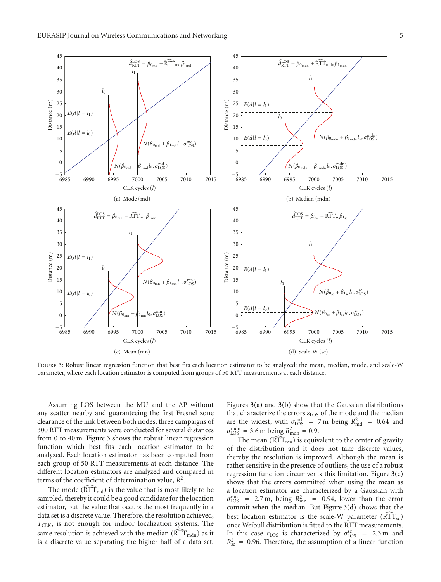

Figure 3: Robust linear regression function that best fits each location estimator to be analyzed: the mean, median, mode, and scale-W parameter, where each location estimator is computed from groups of 50 RTT measurements at each distance.

Assuming LOS between the MU and the AP without any scatter nearby and guaranteeing the first Fresnel zone clearance of the link between both nodes, three campaigns of 300 RTT measurements were conducted for several distances from 0 to 40 m. Figure 3 shows the robust linear regression function which best fits each location estimator to be analyzed. Each location estimator has been computed from each group of 50 RTT measurements at each distance. The different location estimators are analyzed and compared in<br>terms of the coefficient of determination value,  $R^2$ .<br>The mode  $(\overline{\text{RT}_{\text{md}}})$  is the value that is most likely to be terms of the coefficient of determination value, *R*2.

sampled, thereby it could be a good candidate for the location estimator, but the value that occurs the most frequently in a data set is a discrete value. Therefore, the resolution achieved, *T*<sub>CLK</sub>, is not enough for indoor localization systems. The same resolution is achieved with the median ( $\widehat{\text{RTT}}_{\text{mdn}}$ ) as it is a discrete value separating the higher half of a data set.

Figures 3(a) and 3(b) show that the Gaussian distributions that characterize the errors  $\varepsilon$ <sub>LOS</sub> of the mode and the median</sub> are the widest, with  $\sigma_{\text{LOS}}^{\text{md}} = 7 \text{ m}$  being  $R_{\text{md}}^2 = 0.64$  and  $\sigma_{\text{LOS}}^{\text{mdn}} = 3.6 \text{ m}$  being  $R_{\text{mdn}}^2 = 0.9$ .<br>The mean ( $\overline{\text{RT}_{\text{mn}}}$ ) is equivalent to the center of gravity  $\sigma_{\text{LOS}}^{\text{mdn}} = 3.6 \text{ m}$  being  $R_{\text{mdn}}^2 = 0.9$ .

of the distribution and it does not take discrete values, thereby the resolution is improved. Although the mean is rather sensitive in the presence of outliers, the use of a robust regression function circumvents this limitation. Figure  $3(c)$ shows that the errors committed when using the mean as a location estimator are characterized by a Gaussian with  $\sigma_{\text{LOS}}^{\text{max}} = 2.7 \text{ m}$ , being  $R_{\text{mn}}^2 = 0.94$ , lower than the error commit when the median. But Figure 3(d) shows that the best location estimator is the scale-W parameter (RTT<sub>sc</sub>) commit when the median. But Figure 3(d) shows that the once Weibull distribution is fitted to the RTT measurements. In this case  $\varepsilon_{\text{LOS}}$  is characterized by  $\sigma_{\text{LOS}}^{\text{sc}} = 2.3 \text{ m}$  and  $R_{\rm sc}^2$  = 0.96. Therefore, the assumption of a linear function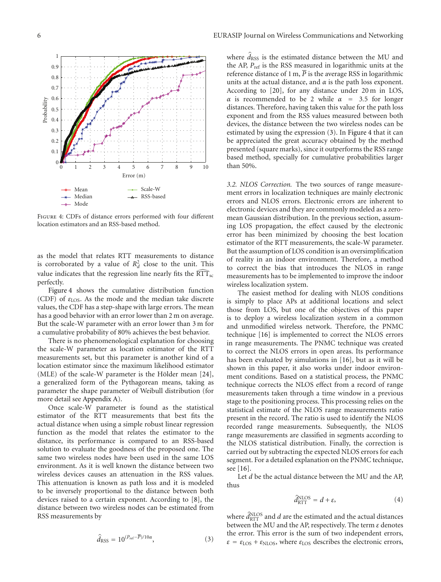

Figure 4: CDFs of distance errors performed with four different location estimators and an RSS-based method.

as the model that relates RTT measurements to distance is corroborated by a value of  $R_d^2$  close to the unit. This as the model that relates RTT measurements to distance<br>is corroborated by a value of  $R_d^2$  close to the unit. This<br>value indicates that the regression line nearly fits the  $\widehat{\text{RTT}}_{\text{sc}}$ perfectly.

Figure 4 shows the cumulative distribution function (CDF) of  $\varepsilon$ <sub>LOS</sub>. As the mode and the median take discrete values, the CDF has a step-shape with large errors. The mean has a good behavior with an error lower than 2 m on average. But the scale-W parameter with an error lower than 3 m for a cumulative probability of 80% achieves the best behavior.

There is no phenomenological explanation for choosing the scale-W parameter as location estimator of the RTT measurements set, but this parameter is another kind of a location estimator since the maximum likelihood estimator (MLE) of the scale-W parameter is the Hölder mean  $[24]$ , a generalized form of the Pythagorean means, taking as parameter the shape parameter of Weibull distribution (for more detail see Appendix A).

Once scale-W parameter is found as the statistical estimator of the RTT measurements that best fits the actual distance when using a simple robust linear regression function as the model that relates the estimator to the distance, its performance is compared to an RSS-based solution to evaluate the goodness of the proposed one. The same two wireless nodes have been used in the same LOS environment. As it is well known the distance between two wireless devices causes an attenuation in the RSS values. This attenuation is known as path loss and it is modeled to be inversely proportional to the distance between both devices raised to a certain exponent. According to [8], the distance between two wireless nodes can be estimated from RSS measurements by -

where  $d_{\text{RSS}}$  is the estimated distance between the MU and the AP, *P*ref is the RSS measured in logarithmic units at the reference distance of 1 m,  $\overline{P}$  is the average RSS in logarithmic units at the actual distance, and  $\alpha$  is the path loss exponent. According to [20], for any distance under 20 m in LOS, *α* is recommended to be 2 while  $\alpha$  = 3.5 for longer distances. Therefore, having taken this value for the path loss exponent and from the RSS values measured between both devices, the distance between the two wireless nodes can be estimated by using the expression (3). In Figure 4 that it can be appreciated the great accuracy obtained by the method presented (square marks), since it outperforms the RSS range based method, specially for cumulative probabilities larger than 50%.

*3.2. NLOS Correction.* The two sources of range measurement errors in localization techniques are mainly electronic errors and NLOS errors. Electronic errors are inherent to electronic devices and they are commonly modeled as a zeromean Gaussian distribution. In the previous section, assuming LOS propagation, the effect caused by the electronic error has been minimized by choosing the best location estimator of the RTT measurements, the scale-W parameter. But the assumption of LOS condition is an oversimplification of reality in an indoor environment. Therefore, a method to correct the bias that introduces the NLOS in range measurements has to be implemented to improve the indoor wireless localization system.

The easiest method for dealing with NLOS conditions is simply to place APs at additional locations and select those from LOS, but one of the objectives of this paper is to deploy a wireless localization system in a common and unmodified wireless network. Therefore, the PNMC technique [16] is implemented to correct the NLOS errors in range measurements. The PNMC technique was created to correct the NLOS errors in open areas. Its performance has been evaluated by simulations in [16], but as it will be shown in this paper, it also works under indoor environment conditions. Based on a statistical process, the PNMC technique corrects the NLOS effect from a record of range measurements taken through a time window in a previous stage to the positioning process. This processing relies on the statistical estimate of the NLOS range measurements ratio present in the record. The ratio is used to identify the NLOS recorded range measurements. Subsequently, the NLOS range measurements are classified in segments according to the NLOS statistical distribution. Finally, the correction is carried out by subtracting the expected NLOS errors for each segment. For a detailed explanation on the PNMC technique, see [16].

Let *d* be the actual distance between the MU and the AP, thus

$$
\hat{d}_{\text{RTT}}^{\text{NLOS}} = d + \varepsilon,\tag{4}
$$

where  $\hat{d}_{\text{RTT}}^{\text{NLOS}}$  and  $d$  are the estimated and the actual distances between the MU and the AP, respectively. The term *ε* denotes the error. This error is the sum of two independent errors,  $\varepsilon = \varepsilon_{\text{LOS}} + \varepsilon_{\text{NLOS}}$ , where  $\varepsilon_{\text{LOS}}$  describes the electronic errors,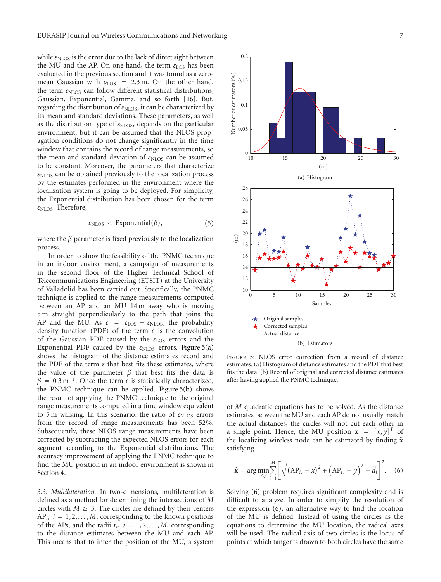while  $\varepsilon_{\text{NLOS}}$  is the error due to the lack of direct sight between the MU and the AP. On one hand, the term  $\varepsilon_{\text{LOS}}$  has been evaluated in the previous section and it was found as a zeromean Gaussian with  $\sigma_{LOS}$  = 2.3 m. On the other hand, the term  $\varepsilon_{NLOS}$  can follow different statistical distributions, Gaussian, Exponential, Gamma, and so forth [16]. But, regarding the distribution of *ε*NLOS, it can be characterized by its mean and standard deviations. These parameters, as well as the distribution type of  $\varepsilon_{\text{NLOS}}$ , depends on the particular environment, but it can be assumed that the NLOS propagation conditions do not change significantly in the time window that contains the record of range measurements, so the mean and standard deviation of *ε*NLOS can be assumed to be constant. Moreover, the parameters that characterize *ε*NLOS can be obtained previously to the localization process by the estimates performed in the environment where the localization system is going to be deployed. For simplicity, the Exponential distribution has been chosen for the term<br>  $\varepsilon_{\text{NLOS}}$ . Therefore,<br>  $\varepsilon_{\text{NLOS}} \rightsquigarrow \text{Exponential}(\beta),$  (5) *ε*NLOS. Therefore,

$$
\varepsilon_{\text{NLOS}} \leadsto \text{Exponential}(\beta), \tag{5}
$$

where the  $\beta$  parameter is fixed previously to the localization process.

In order to show the feasibility of the PNMC technique in an indoor environment, a campaign of measurements in the second floor of the Higher Technical School of Telecommunications Engineering (ETSIT) at the University of Valladolid has been carried out. Specifically, the PNMC technique is applied to the range measurements computed between an AP and an MU 14 m away who is moving 5 m straight perpendicularly to the path that joins the AP and the MU. As  $\varepsilon = \varepsilon_{\text{LOS}} + \varepsilon_{\text{NLOS}}$ , the probability density function (PDF) of the term *ε* is the convolution of the Gaussian PDF caused by the *ε*LOS errors and the Exponential PDF caused by the *ε*NLOS errors. Figure 5(a) shows the histogram of the distance estimates record and the PDF of the term  $ε$  that best fits these estimates, where the value of the parameter  $\beta$  that best fits the data is  $β = 0.3$  m<sup>-1</sup>. Once the term *ε* is statistically characterized, the PNMC technique can be applied. Figure 5(b) shows the result of applying the PNMC technique to the original range measurements computed in a time window equivalent to 5 m walking. In this scenario, the ratio of  $\varepsilon_{\text{NLOS}}$  errors from the record of range measurements has been 52%. Subsequently, these NLOS range measurements have been corrected by subtracting the expected NLOS errors for each segment according to the Exponential distributions. The accuracy improvement of applying the PNMC technique to find the MU position in an indoor environment is shown in Section 4.

*3.3. Multilateration.* In two-dimensions, multilateration is defined as a method for determining the intersections of *M* circles with  $M \geq 3$ . The circles are defined by their centers  $AP_i$ ,  $i = 1, 2, \ldots, M$ , corresponding to the known positions of the APs, and the radii  $r_i$ ,  $i = 1, 2, \ldots, M$ , corresponding to the distance estimates between the MU and each AP. This means that to infer the position of the MU, a system



Figure 5: NLOS error correction from a record of distance estimates. (a) Histogram of distance estimates and the PDF that best fits the data. (b) Record of original and corrected distance estimates after having applied the PNMC technique.

of *M* quadratic equations has to be solved. As the distance estimates between the MU and each AP do not usually match the actual distances, the circles will not cut each other in a single point. Hence, the MU position  $\mathbf{x} = [x, y]^T$  of the actual distances, the circles will not cut each other in<br>a single point. Hence, the MU position  $\mathbf{x} = [x, y]^T$  of<br>the localizing wireless node can be estimated by finding  $\hat{\mathbf{x}}$ wireless node can be estimated by finding satisfying

tistrying  
\n
$$
\hat{\mathbf{x}} = \arg \min_{x, y} \sum_{i=1}^{M} \left[ \sqrt{(AP_{i_x} - x)^2 + (AP_{i_y} - y)^2} - \hat{d}_i \right]^2.
$$
 (6)

Solving (6) problem requires significant complexity and is difficult to analyze. In order to simplify the resolution of the expression (6), an alternative way to find the location of the MU is defined. Instead of using the circles as the equations to determine the MU location, the radical axes will be used. The radical axis of two circles is the locus of points at which tangents drawn to both circles have the same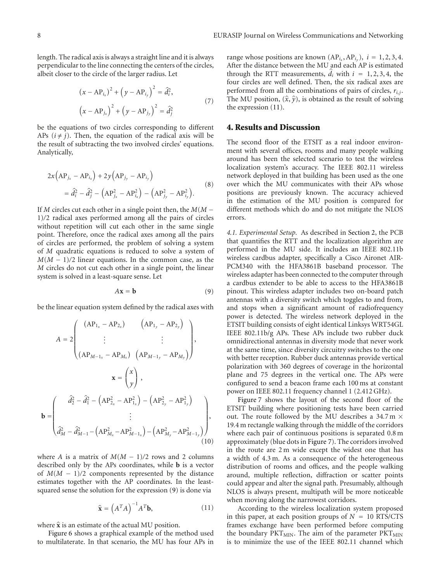length. The radical axis is always a straight line and it is always perpendicular to the line connecting the centers of the circles, albeit closer to the circle of the larger radius. Let

$$
(x - AP_{i_x})^2 + (y - AP_{i_y})^2 = \hat{d}_i^2,
$$
  

$$
(x - AP_{j_x})^2 + (y - AP_{j_y})^2 = \hat{d}_j^2
$$
 (7)

be the equations of two circles corresponding to different APs  $(i \neq j)$ . Then, the equation of the radical axis will be the result of subtracting the two involved circles' equations. Analytically, 

$$
2x (APjx - APix) + 2y (APjy - APiy)
$$
  
=  $\hat{d}_i^2 - \hat{d}_j^2 - (AP_{jx}^2 - AP_{ix}^2) - (AP_{jy}^2 - AP_{iy}^2).$  (8)

If *M* circles cut each other in a single point then, the *M*(*M* − 1)*/*2 radical axes performed among all the pairs of circles without repetition will cut each other in the same single point. Therefore, once the radical axes among all the pairs of circles are performed, the problem of solving a system of *M* quadratic equations is reduced to solve a system of  $M(M - 1)/2$  linear equations. In the common case, as the *M* circles do not cut each other in a single point, the linear system is solved in a least-square sense. Let

$$
A\mathbf{x} = \mathbf{b} \tag{9}
$$

be the linear equation system defined by the radical axes with lX

$$
A = 2\begin{pmatrix} (AP_{1x} - AP_{2x}) & (AP_{1y} - AP_{2y}) \\ \vdots & \vdots \\ (AP_{M-1x} - AP_{Mx}) & (AP_{M-1y} - AP_{My}) \end{pmatrix},
$$

$$
\mathbf{x} = \begin{pmatrix} x \\ y \end{pmatrix},
$$

$$
\mathbf{b} = \begin{pmatrix} \hat{d}_{2}^{2} - \hat{d}_{1}^{2} - (AP_{2x}^{2} - AP_{1x}^{2}) - (AP_{2y}^{2} - AP_{1y}^{2}) \\ \vdots \\ \hat{d}_{M}^{2} - \hat{d}_{M-1}^{2} - (AP_{Mx}^{2} - AP_{M-1x}^{2}) - (AP_{My}^{2} - AP_{M-1y}^{2}) \end{pmatrix},
$$
(10)

where *A* is a matrix of  $M(M - 1)/2$  rows and 2 columns described only by the APs coordinates, while **b** is a vector of *M*(*M* − 1)*/*2 components represented by the distance estimates together with the AP coordinates. In the least squared sense the solution for the expression (9) is done via

squared sense the solution for the expression (9) is done via  
\n
$$
\hat{\mathbf{x}} = (A^T A)^{-1} A^T \mathbf{b}, \qquad (11)
$$
\nwhere  $\hat{\mathbf{x}}$  is an estimate of the actual MU position.

Figure 6 shows a graphical example of the method used to multilaterate. In that scenario, the MU has four APs in

range whose positions are known  $(AP_{i<sub>x</sub>}, AP_{i<sub>y</sub>})$ ,  $i = 1, 2, 3, 4$ . After the distance between the MU and each AP is estimated through the RTT measurements,  $d_i$  with  $i = 1, 2, 3, 4$ , the four circles are well defined. Then, the six radical axes are performed from all the combinations of pairs of circles,  $r_{i,j}$ . The MU position,  $(\hat{x}, \hat{y})$ , is obtained as the result of solving performed from all the combinations of pairs of circles, *ri*,*j*. The MU position,  $(\hat{x}, \hat{y})$ , is obtained as the result of solving the expression (11).

#### **4. Results and Discussion**

The second floor of the ETSIT as a real indoor environment with several offices, rooms and many people walking around has been the selected scenario to test the wireless localization system's accuracy. The IEEE 802.11 wireless network deployed in that building has been used as the one over which the MU communicates with their APs whose positions are previously known. The accuracy achieved in the estimation of the MU position is compared for different methods which do and do not mitigate the NLOS errors.

*4.1. Experimental Setup.* As described in Section 2, the PCB that quantifies the RTT and the localization algorithm are performed in the MU side. It includes an IEEE 802.11b wireless cardbus adapter, specifically a Cisco Aironet AIR-PCM340 with the HFA3861B baseband processor. The wireless adapter has been connected to the computer through a cardbus extender to be able to access to the HFA3861B pinout. This wireless adapter includes two on-board patch antennas with a diversity switch which toggles to and from, and stops when a significant amount of radiofrequency power is detected. The wireless network deployed in the ETSIT building consists of eight identical Linksys WRT54GL IEEE 802.11b/g APs. These APs include two rubber duck omnidirectional antennas in diversity mode that never work at the same time, since diversity circuitry switches to the one with better reception. Rubber duck antennas provide vertical polarization with 360 degrees of coverage in the horizontal plane and 75 degrees in the vertical one. The APs were configured to send a beacon frame each 100 ms at constant power on IEEE 802.11 frequency channel 1 (2.412 GHz).

Figure 7 shows the layout of the second floor of the ETSIT building where positioning tests have been carried out. The route followed by the MU describes a 34.7 m  $\times$ 19*.*4 m rectangle walking through the middle of the corridors where each pair of continuous positions is separated 0.8 m approximately (blue dots in Figure 7). The corridors involved in the route are 2 m wide except the widest one that has a width of 4.3 m. As a consequence of the heterogeneous distribution of rooms and offices, and the people walking around, multiple reflection, diffraction or scatter points could appear and alter the signal path. Presumably, although NLOS is always present, multipath will be more noticeable when moving along the narrowest corridors.

According to the wireless localization system proposed in this paper, at each position groups of  $N = 10$  RTS/CTS frames exchange have been performed before computing the boundary  $PKT_{MIN}$ . The aim of the parameter  $PKT_{MIN}$ is to minimize the use of the IEEE 802.11 channel which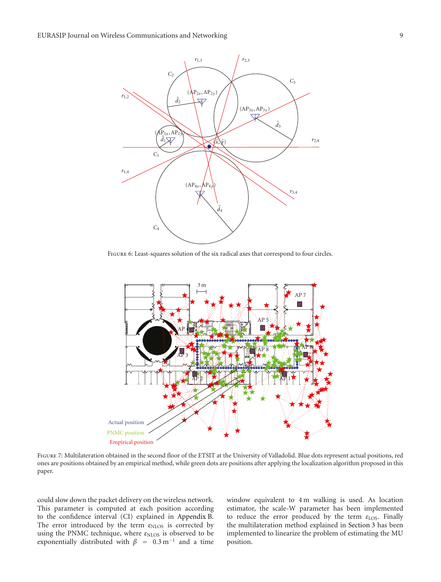

Figure 6: Least-squares solution of the six radical axes that correspond to four circles.



Figure 7: Multilateration obtained in the second floor of the ETSIT at the University of Valladolid. Blue dots represent actual positions, red ones are positions obtained by an empirical method, while green dots are positions after applying the localization algorithm proposed in this paper.

could slow down the packet delivery on the wireless network. This parameter is computed at each position according to the confidence interval (CI) explained in Appendix B. The error introduced by the term *ε*NLOS is corrected by using the PNMC technique, where *ε*NLOS is observed to be exponentially distributed with  $\beta = 0.3$  m<sup>-1</sup> and a time window equivalent to 4 m walking is used. As location estimator, the scale-W parameter has been implemented to reduce the error produced by the term *ε*LOS. Finally the multilateration method explained in Section 3 has been implemented to linearize the problem of estimating the MU position.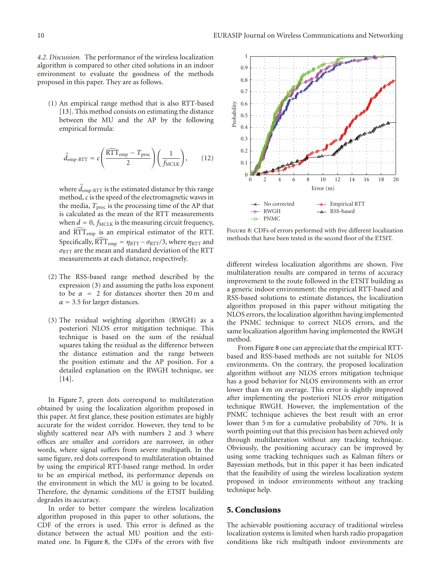*4.2. Discussion.* The performance of the wireless localization algorithm is compared to other cited solutions in an indoor environment to evaluate the goodness of the methods proposed in this paper. They are as follows.

(1) An empirical range method that is also RTT-based [13]. This method consists on estimating the distance between the MU and the AP by the following empirical formula:

$$
\hat{d}_{\text{emp-RTT}} = c \left( \frac{\widehat{\text{RTT}}_{\text{emp}} - T_{\text{proc}}}{2} \right) \left( \frac{1}{f_{\text{MCLK}}} \right), \qquad (12)
$$

where  $d_{\text{emp-RTT}}$  is the estimated distance by this range method,*c* is the speed of the electromagnetic waves in the media,  $T_{\text{proc}}$  is the processing time of the AP that is calculated as the mean of the RTT measurements<br>when  $d = 0$ ,  $f_{MCLK}$  is the measuring circuit frequency,<br>and  $\overline{\text{RTT}}_{emp}$  is an empirical estimator of the RTT. when  $d = 0$ ,  $f_{MCLK}$  is the measuring circuit frequency,<br>and  $\widehat{RTT}_{emp}$  is an empirical estimator of the RTT. Specifically,  $\widehat{\text{RTT}}_{\text{emp}} = \eta_{\text{RTT}} - \sigma_{\text{RTT}}/3$ , where  $\eta_{\text{RTT}}$  and *σ*RTT are the mean and standard deviation of the RTT measurements at each distance, respectively.

- (2) The RSS-based range method described by the expression (3) and assuming the paths loss exponent to be  $\alpha = 2$  for distances shorter then 20 m and  $\alpha$  = 3.5 for larger distances.
- (3) The residual weighting algorithm (RWGH) as a posteriori NLOS error mitigation technique. This technique is based on the sum of the residual squares taking the residual as the difference between the distance estimation and the range between the position estimate and the AP position. For a detailed explanation on the RWGH technique, see [14].

In Figure 7, green dots correspond to multilateration obtained by using the localization algorithm proposed in this paper. At first glance, these position estimates are highly accurate for the widest corridor. However, they tend to be slightly scattered near APs with numbers 2 and 3 where offices are smaller and corridors are narrower, in other words, where signal suffers from severe multipath. In the same figure, red dots correspond to multilateration obtained by using the empirical RTT-based range method. In order to be an empirical method, its performance depends on the environment in which the MU is going to be located. Therefore, the dynamic conditions of the ETSIT building degrades its accuracy.

In order to better compare the wireless localization algorithm proposed in this paper to other solutions, the CDF of the errors is used. This error is defined as the distance between the actual MU position and the estimated one. In Figure 8, the CDFs of the errors with five



Figure 8: CDFs of errors performed with five different localization methods that have been tested in the second floor of the ETSIT.

different wireless localization algorithms are shown. Five multilateration results are compared in terms of accuracy improvement to the route followed in the ETSIT building as a generic indoor environment: the empirical RTT-based and RSS-based solutions to estimate distances, the localization algorithm proposed in this paper without mitigating the NLOS errors, the localization algorithm having implemented the PNMC technique to correct NLOS errors, and the same localization algorithm having implemented the RWGH method.

From Figure 8 one can appreciate that the empirical RTTbased and RSS-based methods are not suitable for NLOS environments. On the contrary, the proposed localization algorithm without any NLOS errors mitigation technique has a good behavior for NLOS environments with an error lower than 4 m on average. This error is slightly improved after implementing the posteriori NLOS error mitigation technique RWGH. However, the implementation of the PNMC technique achieves the best result with an error lower than 5 m for a cumulative probability of 70%. It is worth pointing out that this precision has been achieved only through multilateration without any tracking technique. Obviously, the positioning accuracy can be improved by using some tracking techniques such as Kalman filters or Bayessian methods, but in this paper it has been indicated that the feasibility of using the wireless localization system proposed in indoor environments without any tracking technique help.

#### **5. Conclusions**

The achievable positioning accuracy of traditional wireless localization systems is limited when harsh radio propagation conditions like rich multipath indoor environments are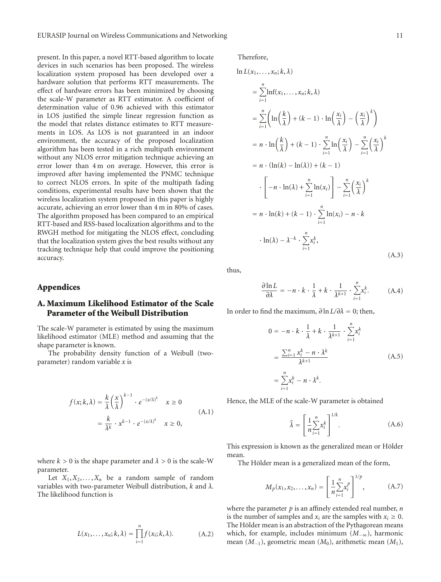present. In this paper, a novel RTT-based algorithm to locate devices in such scenarios has been proposed. The wireless localization system proposed has been developed over a hardware solution that performs RTT measurements. The effect of hardware errors has been minimized by choosing the scale-W parameter as RTT estimator. A coefficient of determination value of 0.96 achieved with this estimator in LOS justified the simple linear regression function as the model that relates distance estimates to RTT measurements in LOS. As LOS is not guaranteed in an indoor environment, the accuracy of the proposed localization algorithm has been tested in a rich multipath environment without any NLOS error mitigation technique achieving an error lower than 4 m on average. However, this error is improved after having implemented the PNMC technique to correct NLOS errors. In spite of the multipath fading conditions, experimental results have been shown that the wireless localization system proposed in this paper is highly accurate, achieving an error lower than 4 m in 80% of cases. The algorithm proposed has been compared to an empirical RTT-based and RSS-based localization algorithms and to the RWGH method for mitigating the NLOS effect, concluding that the localization system gives the best results without any tracking technique help that could improve the positioning accuracy.

### **Appendices**

## **A. Maximum Likelihood Estimator of the Scale Parameter of the Weibull Distribution**

The scale-W parameter is estimated by using the maximum likelihood estimator (MLE) method and assuming that the shape parameter is known.

The probability density function of a Weibull (twoparameter) random variable *x* is

$$
f(x; k, \lambda) = \frac{k}{\lambda} \left(\frac{x}{\lambda}\right)^{k-1} \cdot e^{-(x/\lambda)^k} \quad x \ge 0
$$
  
=  $\frac{k}{\lambda^k} \cdot x^{k-1} \cdot e^{-(x/\lambda)^k} \quad x \ge 0,$  (A.1)

where  $k > 0$  is the shape parameter and  $\lambda > 0$  is the scale-W parameter.

Let  $X_1, X_2, \ldots, X_n$  be a random sample of random variables with two-parameter Weibull distribution, *k* and *λ*. The likelihood function is

$$
L(x_1, \dots, x_n; k, \lambda) = \prod_{i=1}^n f(x_i; k, \lambda).
$$
 (A.2)

Therefore,

$$
\ln L(x_1, ..., x_n; k, \lambda)
$$
\n
$$
= \sum_{i=1}^n \ln f(x_1, ..., x_n; k, \lambda)
$$
\n
$$
= \sum_{i=1}^n \left( \ln \left( \frac{k}{\lambda} \right) + (k - 1) \cdot \ln \left( \frac{x_i}{\lambda} \right) - \left( \frac{x_i}{\lambda} \right)^k \right)
$$
\n
$$
= n \cdot \ln \left( \frac{k}{\lambda} \right) + (k - 1) \cdot \sum_{i=1}^n \ln \left( \frac{x_i}{\lambda} \right) - \sum_{i=1}^n \left( \frac{x_i}{\lambda} \right)^k
$$
\n
$$
= n \cdot (\ln(k) - \ln(\lambda)) + (k - 1)
$$
\n
$$
\cdot \left[ -n \cdot \ln(\lambda) + \sum_{i=1}^n \ln(x_i) \right] - \sum_{i=1}^n \left( \frac{x_i}{\lambda} \right)^k
$$
\n
$$
= n \cdot \ln(k) + (k - 1) \cdot \sum_{i=1}^n \ln(x_i) - n \cdot k
$$
\n
$$
\cdot \ln(\lambda) - \lambda^{-k} \cdot \sum_{i=1}^n x_i^k,
$$
\n(A.3)

thus,

$$
\frac{\partial \ln L}{\partial \lambda} = -n \cdot k \cdot \frac{1}{\lambda} + k \cdot \frac{1}{\lambda^{k+1}} \cdot \sum_{i=1}^{n} x_i^k.
$$
 (A.4)

In order to find the maximum, *∂* ln *L/∂λ* = 0; then,

$$
0 = -n \cdot k \cdot \frac{1}{\lambda} + k \cdot \frac{1}{\lambda^{k+1}} \cdot \sum_{i=1}^{n} x_i^k
$$
  
= 
$$
\frac{\sum_{i=1}^{n} x_i^k - n \cdot \lambda^k}{\lambda^{k+1}}
$$
  
= 
$$
\sum_{i=1}^{n} x_i^k - n \cdot \lambda^k.
$$
 (A.5)

Hence, the MLE of the scale-W parameter is obtained

$$
\hat{\lambda} = \left[\frac{1}{n} \sum_{i=1}^{n} x_i^k\right]^{1/k}.\tag{A.6}
$$

This expression is known as the generalized mean or Hölder mean.

The Hölder mean is a generalized mean of the form,

$$
M_p(x_1, x_2, \dots, x_n) = \left[\frac{1}{n} \sum_{i=1}^n x_i^p\right]^{1/p}, \quad (A.7)
$$

where the parameter *p* is an affinely extended real number, *n* is the number of samples and  $x_i$  are the samples with  $x_i \geq 0$ . The Hölder mean is an abstraction of the Pythagorean means which, for example, includes minimum (*M*−∞), harmonic mean (*M*−1), geometric mean (*M*0), arithmetic mean (*M*1),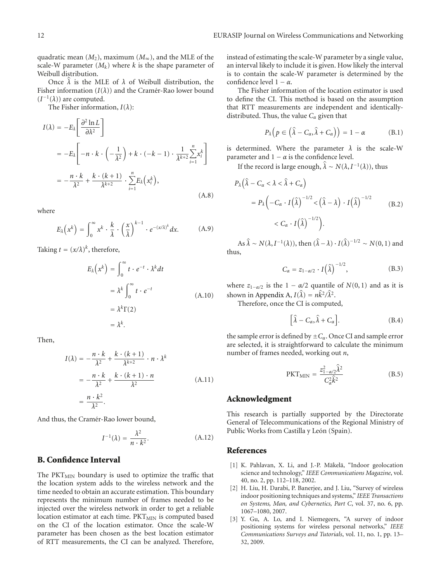quadratic mean  $(M_2)$ , maximum  $(M_\infty)$ , and the MLE of the scale-W parameter  $(M_k)$  where k is the shape parameter of Weibull distribution.

Once  $\lambda$  is the MLE of  $\lambda$  of Weibull distribution, the Fisher information  $(I(\lambda))$  and the Cramér-Rao lower bound  $(I^{-1}(\lambda))$  are computed.

The Fisher information, *I*(*λ*):

$$
I(\lambda) = -E_{\lambda} \left[ \frac{\partial^2 \ln L}{\partial \lambda^2} \right]
$$
  
=  $-E_{\lambda} \left[ -n \cdot k \cdot \left( -\frac{1}{\lambda^2} \right) + k \cdot (-k - 1) \cdot \frac{1}{\lambda^{k+2}} \sum_{i=1}^n x_i^k \right]$   
=  $-\frac{n \cdot k}{\lambda^2} + \frac{k \cdot (k+1)}{\lambda^{k+2}} \cdot \sum_{i=1}^n E_{\lambda} (x_i^k),$  (A.8)

where

$$
E_{\lambda}\left(x^{k}\right) = \int_{0}^{\infty} x^{k} \cdot \frac{k}{\lambda} \cdot \left(\frac{x}{\lambda}\right)^{k-1} \cdot e^{-(x/\lambda)^{k}} dx. \tag{A.9}
$$

Taking  $t = (x/\lambda)^k$ , therefore,

$$
E_{\lambda}\left(x^{k}\right) = \int_{0}^{\infty} t \cdot e^{-t} \cdot \lambda^{k} dt
$$

$$
= \lambda^{k} \int_{0}^{\infty} t \cdot e^{-t}
$$

$$
= \lambda^{k} \Gamma(2)
$$

$$
= \lambda^{k}.
$$
(A.10)  
(A.11)

Then,

$$
I(\lambda) = -\frac{n \cdot k}{\lambda^2} + \frac{k \cdot (k+1)}{\lambda^{k+2}} \cdot n \cdot \lambda^k
$$
  
=  $-\frac{n \cdot k}{\lambda^2} + \frac{k \cdot (k+1) \cdot n}{\lambda^2}$  (A.11)  
=  $\frac{n \cdot k^2}{\lambda^2}$ .

And thus, the Cramér-Rao lower bound,

$$
I^{-1}(\lambda) = \frac{\lambda^2}{n \cdot k^2}.
$$
 (A.12)

## **B. Confidence Interval**

The  $PKT<sub>MIN</sub>$  boundary is used to optimize the traffic that the location system adds to the wireless network and the time needed to obtain an accurate estimation. This boundary represents the minimum number of frames needed to be injected over the wireless network in order to get a reliable location estimator at each time. PKT<sub>MIN</sub> is computed based on the CI of the location estimator. Once the scale-W parameter has been chosen as the best location estimator of RTT measurements, the CI can be analyzed. Therefore,

instead of estimating the scale-W parameter by a single value, an interval likely to include it is given. How likely the interval is to contain the scale-W parameter is determined by the confidence level 1 − *α*.

The Fisher information of the location estimator is used to define the CI. This method is based on the assumption that RTT measurements are independent and identicallydistributed. Thus, the value  $C_{\alpha}$  given that

$$
P_{\lambda}\left(p \in \left(\hat{\lambda} - C_{\alpha}, \hat{\lambda} + C_{\alpha}\right)\right) = 1 - \alpha \tag{B.1}
$$

is determined. Where the parameter  $\lambda$  is the scale-W parameter and  $1 - \alpha$  is the confidence level.

If the record is large enough,  $\hat{\lambda} \sim N(\lambda, I^{-1}(\lambda))$ , thus

$$
P_{\lambda}(\hat{\lambda} - C_{\alpha} < \lambda < \hat{\lambda} + C_{\alpha})
$$
  
=  $P_{\lambda} \left( -C_{\alpha} \cdot I(\hat{\lambda})^{-1/2} < (\hat{\lambda} - \lambda) \cdot I(\hat{\lambda})^{-1/2} \right)$  (B.2)  
<  $C_{\alpha} \cdot I(\hat{\lambda})^{-1/2}$ ).

As  $\hat{\lambda} \sim N(\lambda, I^{-1}(\lambda))$ , then  $(\hat{\lambda} - \lambda) \cdot I(\hat{\lambda})^{-1/2} \sim N(0, 1)$  and thus,

$$
C_{\alpha} = z_{1-\alpha/2} \cdot I(\hat{\lambda})^{-1/2}, \qquad (B.3)
$$

where  $z_{1-\alpha/2}$  is the  $1-\alpha/2$  quantile of  $N(0, 1)$  and as it is shown in Appendix A,  $I(\hat{\lambda}) = n\hat{k}^2/\hat{\lambda}^2$ .  $(2 \text{ qua})$ <br> $\hat{n}$ <br> $\hat{n}$ 

Therefore, once the CI is computed,

$$
\left[\hat{\lambda} - C_{\alpha}, \hat{\lambda} + C_{\alpha}\right].
$$
 (B.4)

the sample error is defined by  $\pm C_{\alpha}$ . Once CI and sample error are selected, it is straightforward to calculate the minimum number of frames needed, working out *n*,

$$
PKTMIN = \frac{z_{1-\alpha/2}^2 \hat{\lambda}^2}{C_{\alpha}^2 \hat{k}^2}
$$
 (B.5)

#### **Acknowledgment**

This research is partially supported by the Directorate General of Telecommunications of the Regional Ministry of Public Works from Castilla y León (Spain).

#### **References**

- [1] K. Pahlavan, X. Li, and J.-P. Mäkelä, "Indoor geolocation science and technology," *IEEE Communications Magazine*, vol. 40, no. 2, pp. 112–118, 2002.
- [2] H. Liu, H. Darabi, P. Banerjee, and J. Liu, "Survey of wireless indoor positioning techniques and systems," *IEEE Transactions on Systems, Man, and Cybernetics, Part C*, vol. 37, no. 6, pp. 1067–1080, 2007.
- [3] Y. Gu, A. Lo, and I. Niemegeers, "A survey of indoor positioning systems for wireless personal networks," *IEEE Communications Surveys and Tutorials*, vol. 11, no. 1, pp. 13– 32, 2009.